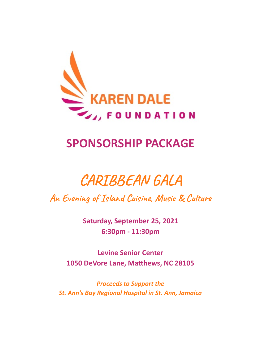

## **SPONSORSHIP PACKAGE**

# **CARIBBEAN GALA**

An Evening of Island Cuisine, Music & Culture

**Saturday, September 25, 2021 6:30pm - 11:30pm** 

**Levine Senior Center 1050 DeVore Lane, Matthews, NC 28105** 

*Proceeds to Support the St. Ann's Bay Regional Hospital in St. Ann, Jamaica*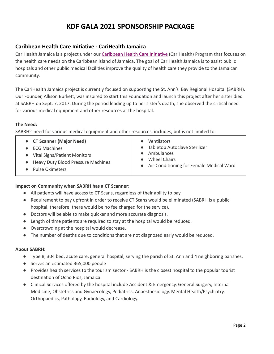#### **Caribbean Health Care Iniave - CariHealth Jamaica**

CariHealth Jamaica is a project under our Caribbean Health Care Initiative (CariHealth) Program that focuses on the health care needs on the Caribbean island of Jamaica. The goal of CariHealth Jamaica is to assist public hospitals and other public medical facilities improve the quality of health care they provide to the Jamaican community.

The CariHealth Jamaica project is currently focused on supporting the St. Ann's Bay Regional Hospital (SABRH). Our Founder, Allison Burkett, was inspired to start this Foundation and launch this project after her sister died at SABRH on Sept. 7, 2017. During the period leading up to her sister's death, she observed the critical need for various medical equipment and other resources at the hospital.

#### **The Need:**

SABRH's need for various medical equipment and other resources, includes, but is not limited to:

|  | <b>CT Scanner (Major Need)</b> |  |  |
|--|--------------------------------|--|--|
|--|--------------------------------|--|--|

● ECG Machines

• Vital Signs/Patient Monitors

- Heavy Duty Blood Pressure Machines
- Pulse Oximeters
- Ventilators
- Tabletop Autoclave Sterilizer
- Ambulances
- Wheel Chairs
- Air-Conditioning for Female Medical Ward

#### **Impact on Community when SABRH has a CT Scanner:**

- All patients will have access to CT Scans, regardless of their ability to pay.
- Requirement to pay upfront in order to receive CT Scans would be eliminated (SABRH is a public hospital, therefore, there would be no fee charged for the service).
- Doctors will be able to make quicker and more accurate diagnosis.
- Length of time patients are required to stay at the hospital would be reduced.
- Overcrowding at the hospital would decrease.
- The number of deaths due to conditions that are not diagnosed early would be reduced.

#### **About SABRH:**

- Type B, 304 bed, acute care, general hospital, serving the parish of St. Ann and 4 neighboring parishes.
- Serves an estimated 365,000 people
- Provides health services to the tourism sector SABRH is the closest hospital to the popular tourist destination of Ocho Rios, Jamaica.
- Clinical Services offered by the hospital include Accident & Emergency, General Surgery, Internal Medicine, Obstetrics and Gynaecology, Pediatrics, Anaesthesiology, Mental Health/Psychiatry, Orthopaedics, Pathology, Radiology, and Cardiology.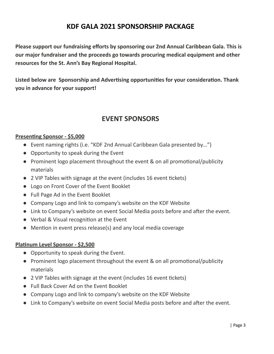**Please support our fundraising efforts by sponsoring our 2nd Annual Caribbean Gala. This is our major fundraiser and the proceeds go towards procuring medical equipment and other resources for the St. Ann's Bay Regional Hospital.**

**Listed** below are Sponsorship and Advertising opportunities for your consideration. Thank **you in advance for your support!**

## **EVENT SPONSORS**

#### **Presenting Sponsor - \$5,000**

- Event naming rights (i.e. "KDF 2nd Annual Caribbean Gala presented by...")
- Opportunity to speak during the Event
- Prominent logo placement throughout the event & on all promotional/publicity materials
- $\bullet$  2 VIP Tables with signage at the event (includes 16 event tickets)
- Logo on Front Cover of the Event Booklet
- Full Page Ad in the Event Booklet
- Company Logo and link to company's website on the KDF Website
- Link to Company's website on event Social Media posts before and after the event.
- Verbal & Visual recognition at the Event
- $\bullet$  Mention in event press release(s) and any local media coverage

#### **Planum Level Sponsor - \$2,500**

- Opportunity to speak during the Event.
- Prominent logo placement throughout the event & on all promotional/publicity materials
- $\bullet$  2 VIP Tables with signage at the event (includes 16 event tickets)
- Full Back Cover Ad on the Event Booklet
- Company Logo and link to company's website on the KDF Website
- Link to Company's website on event Social Media posts before and after the event.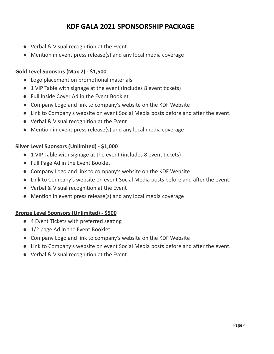- Verbal & Visual recognition at the Event
- $\bullet$  Mention in event press release(s) and any local media coverage

#### **Gold Level Sponsors (Max 2) - \$1,500**

- Logo placement on promotional materials
- 1 VIP Table with signage at the event (includes 8 event tickets)
- Full Inside Cover Ad in the Event Booklet
- Company Logo and link to company's website on the KDF Website
- Link to Company's website on event Social Media posts before and after the event.
- Verbal & Visual recognition at the Event
- Mention in event press release(s) and any local media coverage

#### **Silver Level Sponsors (Unlimited) - \$1,000**

- 1 VIP Table with signage at the event (includes 8 event tickets)
- Full Page Ad in the Event Booklet
- Company Logo and link to company's website on the KDF Website
- Link to Company's website on event Social Media posts before and after the event.
- Verbal & Visual recognition at the Event
- $\bullet$  Mention in event press release(s) and any local media coverage

#### **Bronze Level Sponsors (Unlimited) - \$500**

- 4 Event Tickets with preferred seating
- 1/2 page Ad in the Event Booklet
- Company Logo and link to company's website on the KDF Website
- Link to Company's website on event Social Media posts before and after the event.
- Verbal & Visual recognition at the Event